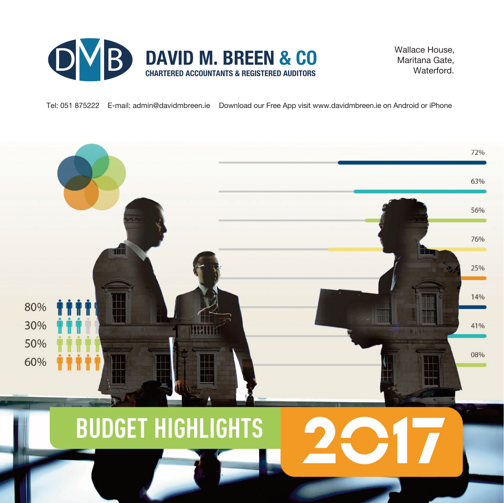

 Wallace House, Maritana Gate, **Waterford** 

Tel: 051 875222 E-mail: admin@davidmbreen.ie Download our Free App visit www.davidmbreen.ie on Android or iPhone

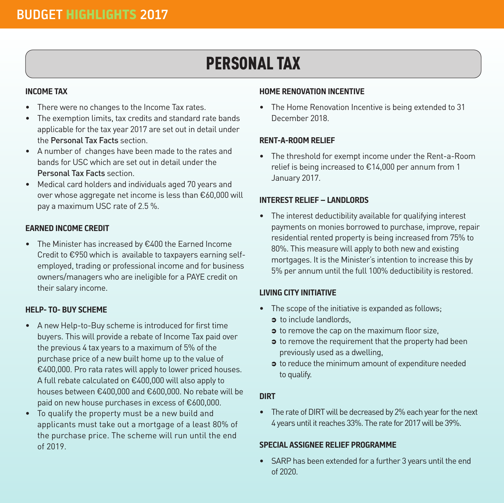# PERSONAL TAX

### **INCOME TAX**

- There were no changes to the Income Tax rates.
- The exemption limits, tax credits and standard rate bands applicable for the tax year 2017 are set out in detail under the Personal Tax Facts section.
- A number of changes have been made to the rates and bands for USC which are set out in detail under the Personal Tax Facts section.
- Medical card holders and individuals aged 70 years and over whose aggregate net income is less than €60,000 will pay a maximum USC rate of 2.5 %.

### **EARNED INCOME CREDIT**

• The Minister has increased by €400 the Earned Income Credit to €950 which is available to taxpayers earning selfemployed, trading or professional income and for business owners/managers who are ineligible for a PAYE credit on their salary income.

### **HELP- TO- BUY SCHEME**

- A new Help-to-Buy scheme is introduced for first time buyers. This will provide a rebate of Income Tax paid over the previous 4 tax years to a maximum of 5% of the purchase price of a new built home up to the value of €400,000. Pro rata rates will apply to lower priced houses. A full rebate calculated on €400,000 will also apply to houses between €400,000 and €600,000. No rebate will be paid on new house purchases in excess of €600,000.
- To qualify the property must be a new build and applicants must take out a mortgage of a least 80% of the purchase price. The scheme will run until the end of 2019.

### **HOME RENOVATION INCENTIVE**

• The Home Renovation Incentive is being extended to 31 December 2018.

### **RENT-A-ROOM RELIEF**

• The threshold for exempt income under the Rent-a-Room relief is being increased to €14,000 per annum from 1 January 2017.

### **INTEREST RELIEF – LANDLORDS**

• The interest deductibility available for qualifying interest payments on monies borrowed to purchase, improve, repair residential rented property is being increased from 75% to 80%. This measure will apply to both new and existing mortgages. It is the Minister's intention to increase this by 5% per annum until the full 100% deductibility is restored.

### **LIVING CITY INITIATIVE**

- The scope of the initiative is expanded as follows;
	- $\bullet$  to include landlords.
	- $\bullet$  to remove the cap on the maximum floor size,
	- $\bullet$  to remove the requirement that the property had been previously used as a dwelling,
	- $\bullet$  to reduce the minimum amount of expenditure needed to qualify.

### **DIRT**

• The rate of DIRT will be decreased by 2% each year for the next 4 years until it reaches 33%. The rate for 2017 will be 39%.

### **SPECIAL ASSIGNEE RELIEF PROGRAMME**

• SARP has been extended for a further 3 years until the end of 2020.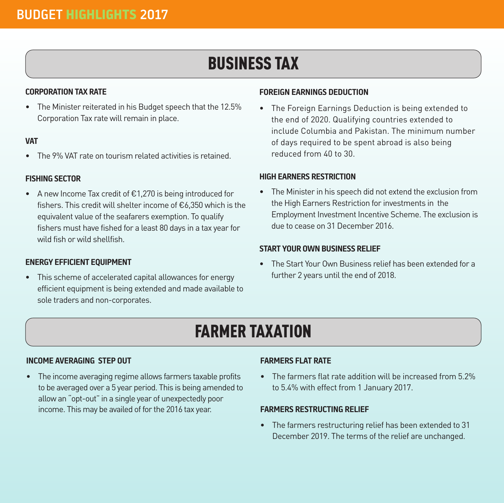# BUSINESS TAX

### **CORPORATIONTAX RATE**

• The Minister reiterated in his Budget speech that the 12.5% Corporation Tax rate will remain in place.

#### **VAT**

• The 9% VAT rate on tourism related activities is retained.

### **FISHING SECTOR**

• A new Income Tax credit of €1,270 is being introduced for fishers. This credit will shelter income of €6,350 which is the equivalent value of the seafarers exemption. To qualify fishers must have fished for a least 80 days in a tax year for wild fish or wild shellfish.

### **ENERGY EFFICIENT EQUIPMENT**

• This scheme of accelerated capital allowances for energy efficient equipment is being extended and made available to sole traders and non-corporates.

#### **FOREIGN EARNINGS DEDUCTION**

• The Foreign Earnings Deduction is being extended to the end of 2020. Qualifying countries extended to include Columbia and Pakistan. The minimum number of days required to be spent abroad is also being reduced from 40 to 30.

#### **HIGHEARNERS RESTRICTION**

• The Minister in his speech did not extend the exclusion from the High Earners Restriction for investments in the Employment Investment Incentive Scheme. The exclusion is due to cease on 31 December 2016.

### **START YOUR OWNBUSINESS RELIEF**

• The Start Your Own Business relief has been extended for a further 2 years until the end of 2018.

### FARMER TAXATION

### **INCOME AVERAGING STEP OUT**

• The income averaging regime allows farmers taxable profits to be averaged over a 5 year period. This is being amended to allow an "opt-out" in a single year of unexpectedly poor income. This may be availed of for the 2016 tax year.

### **FARMERS FLAT RATE**

• The farmers flat rate addition will be increased from 5.2% to 5.4% with effect from 1 January 2017.

### **FARMERS RESTRUCTING RELIEF**

• The farmers restructuring relief has been extended to 31 December 2019. The terms of the relief are unchanged.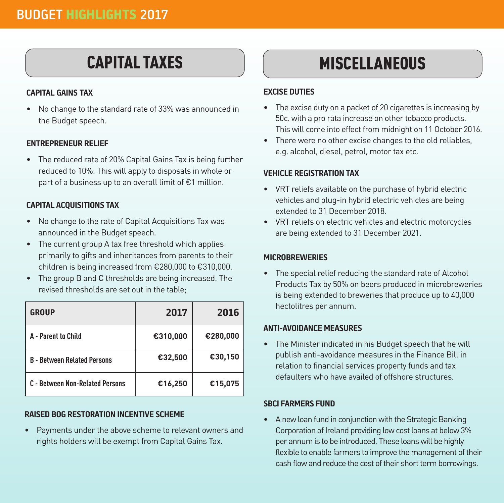### CAPITAL TAXES

### **CAPITAL GAINS TAX**

• No change to the standard rate of 33% was announced in the Budget speech.

### **ENTREPRENEUR RELIEF**

• The reduced rate of 20% Capital Gains Tax is being further reduced to 10%. This will apply to disposals in whole or part of a business up to an overall limit of €1 million.

### **CAPITAL ACQUISITIONS TAX**

- No change to the rate of Capital Acquisitions Tax was announced in the Budget speech.
- The current group A tax free threshold which applies primarily to gifts and inheritances from parents to their children is being increased from €280,000 to €310,000.
- The group B and C thresholds are being increased. The revised thresholds are set out in the table;

| <b>GROUP</b>                       | 2017     | 2016     |
|------------------------------------|----------|----------|
| A - Parent to Child                | €310,000 | €280,000 |
| <b>B</b> - Between Related Persons | €32,500  | €30,150  |
| C - Between Non-Related Persons    | €16,250  | €15,075  |

### **RAISED BOG RESTORATION INCENTIVE SCHEME**

• Payments under the above scheme to relevant owners and rights holders will be exempt from Capital Gains Tax.

### **MISCELLANEOUS**

### **EXCISE DUTIES**

- The excise duty on a packet of 20 cigarettes is increasing by 50c. with a pro rata increase on other tobacco products. This will come into effect from midnight on 11 October 2016.
- There were no other excise changes to the old reliables, e.g. alcohol, diesel, petrol, motor tax etc.

### **VEHICLE REGISTRATION TAX**

- VRT reliefs available on the purchase of hybrid electric vehicles and plug-in hybrid electric vehicles are being extended to 31 December 2018.
- VRT reliefs on electric vehicles and electric motorcycles are being extended to 31 December 2021.

### **MICROBREWERIES**

• The special relief reducing the standard rate of Alcohol Products Tax by 50% on beers produced in microbreweries is being extended to breweries that produce up to 40,000 hectolitres per annum.

### **ANTI-AVOIDANCE MEASURES**

• The Minister indicated in his Budget speech that he will publish anti-avoidance measures in the Finance Bill in relation to financial services property funds and tax defaulters who have availed of offshore structures.

### **SBCI FARMERS FUND**

• A new loan fund in conjunction with the Strategic Banking Corporation of Ireland providing low cost loans at below 3% per annum is to be introduced. These loans will be highly flexible to enable farmers to improve the management of their cash flow and reduce the cost of their short term borrowings.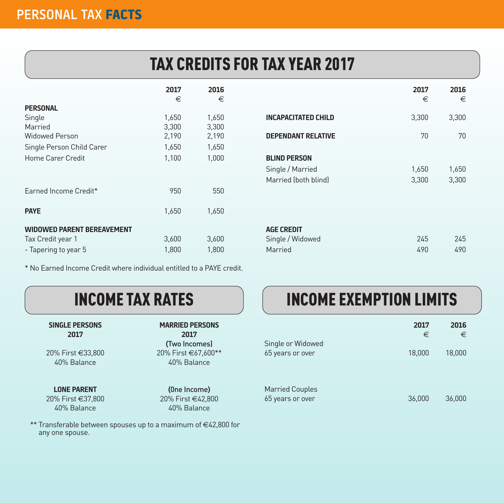# TAX CREDITS FOR TAX YEAR 2017

|                                   | 2017  | 2016  |                            | 2017  | 2016  |
|-----------------------------------|-------|-------|----------------------------|-------|-------|
|                                   | €     | €     |                            | €     | €     |
| <b>PERSONAL</b>                   |       |       |                            |       |       |
| Single                            | 1,650 | 1,650 | <b>INCAPACITATED CHILD</b> | 3,300 | 3,300 |
| Married                           | 3,300 | 3,300 |                            |       |       |
| <b>Widowed Person</b>             | 2,190 | 2,190 | <b>DEPENDANT RELATIVE</b>  | 70    | 70    |
| Single Person Child Carer         | 1,650 | 1,650 |                            |       |       |
| Home Carer Credit                 | 1,100 | 1,000 | <b>BLIND PERSON</b>        |       |       |
|                                   |       |       | Single / Married           | 1,650 | 1,650 |
|                                   |       |       | Married (both blind)       | 3,300 | 3,300 |
| Earned Income Credit*             | 950   | 550   |                            |       |       |
| <b>PAYE</b>                       | 1,650 | 1,650 |                            |       |       |
|                                   |       |       |                            |       |       |
| <b>WIDOWED PARENT BEREAVEMENT</b> |       |       | <b>AGE CREDIT</b>          |       |       |
| Tax Credit year 1                 | 3,600 | 3,600 | Single / Widowed           | 245   | 245   |
| - Tapering to year 5              | 1,800 | 1,800 | Married                    | 490   | 490   |

|                            | 2017<br>€ | 2016<br>€ |
|----------------------------|-----------|-----------|
| <b>INCAPACITATED CHILD</b> | 3,300     | 3,300     |
| <b>DEPENDANT RELATIVE</b>  | 70        | 70        |
| <b>BLIND PERSON</b>        |           |           |
| Single / Married           | 1,650     | 1,650     |
| Married (both blind)       | 3,300     | 3,300     |
|                            |           |           |
|                            |           |           |
| <b>AGE CREDIT</b>          |           |           |
| Single / Widowed           | 245       | 245       |

\* No Earned Income Credit where individual entitled to a PAYE credit.

 **2017 2017**

20% First €37,800 40% Balance 40% Balance

### **SINGLE PERSONS MARRIED PERSONS**

 **(**Two Incomes) 20% First €33,800 20% First €67,600\*\* 40% Balance 40% Balance

**LONE PARENT** (0ne Income)<br>
<sup>1</sup>% First €37.800 20% First €42.800

\*\* Transferable between spouses up to a maximum of €42,800 for any one spouse.

# INCOME TAX RATES **INCOME EXEMPTION LIMITS**

| Single or Widowed                          | 2017<br>€ | 2016<br>€ |
|--------------------------------------------|-----------|-----------|
| 65 years or over                           | 18,000    | 18,000    |
| <b>Married Couples</b><br>65 years or over | 36,000    | 36,000    |